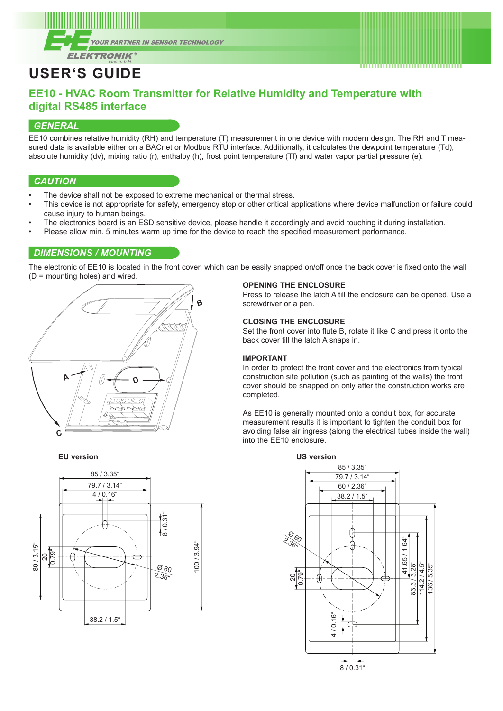



# **user's guiDe**

# **EE10 - HVAC Room Transmitter for Relative Humidity and Temperature with digital RS485 interface**

## *GENERAL*

EE10 combines relative humidity (RH) and temperature (T) measurement in one device with modern design. The RH and T measured data is available either on a BACnet or Modbus RTU interface. Additionally, it calculates the dewpoint temperature (Td), absolute humidity (dv), mixing ratio (r), enthalpy (h), frost point temperature (Tf) and water vapor partial pressure (e).

## *CAutioN*

- The device shall not be exposed to extreme mechanical or thermal stress.
- This device is not appropriate for safety, emergency stop or other critical applications where device malfunction or failure could cause injury to human beings.
- The electronics board is an ESD sensitive device, please handle it accordingly and avoid touching it during installation.
- Please allow min. 5 minutes warm up time for the device to reach the specified measurement performance.

## *DiMENSioNS / MouNtiNG*

The electronic of EE10 is located in the front cover, which can be easily snapped on/off once the back cover is fixed onto the wall (D = mounting holes) and wired.



#### **OPENING THE ENCLOSURE**

Press to release the latch A till the enclosure can be opened. Use a screwdriver or a pen.

#### **clOsing the enclOsure**

Set the front cover into flute B, rotate it like C and press it onto the back cover till the latch A snaps in.

#### **impOrtant**

In order to protect the front cover and the electronics from typical construction site pollution (such as painting of the walls) the front cover should be snapped on only after the construction works are completed.

As EE10 is generally mounted onto a conduit box, for accurate measurement results it is important to tighten the conduit box for avoiding false air ingress (along the electrical tubes inside the wall) into the EE10 enclosure.



**eu version us version**

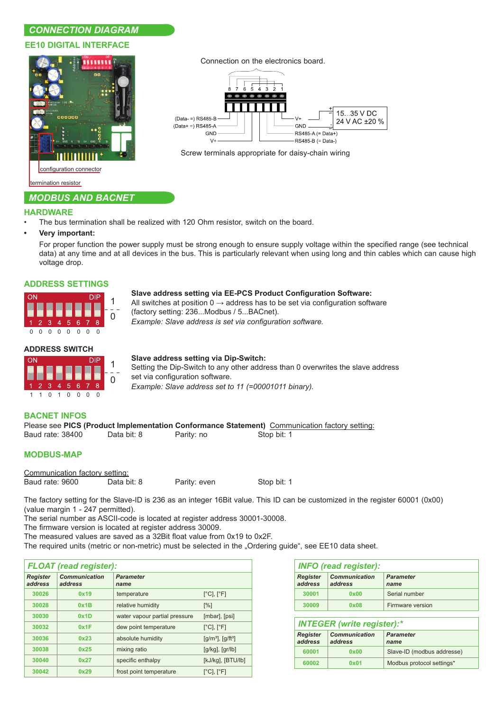# *CoNNECtioN DiAGRAM*

#### **ee10 Digital interface**



configuration connector

termination resistor

#### *MoDBuS AND BACNEt*

#### **harDWare**

- The bus termination shall be realized with 120 Ohm resistor, switch on the board.
- **• Very important:**

For proper function the power supply must be strong enough to ensure supply voltage within the specified range (see technical data) at any time and at all devices in the bus. This is particularly relevant when using long and thin cables which can cause high voltage drop.

## **aDDress settings**

| ΟN |  |                                        |                |     | Pח  |   |
|----|--|----------------------------------------|----------------|-----|-----|---|
|    |  |                                        | <u>UUUUUUU</u> |     |     | U |
| 1. |  |                                        | $2$ 3 4 5 6 7  |     | 8   |   |
| U  |  | $0\quad 0\quad 0\quad 0\quad 0\quad 0$ |                | 0 O | - 0 |   |

#### **Slave address setting via EE-PCS Product Configuration Software:**

- All switches at position  $0 \rightarrow$  address has to be set via configuration software
	- (factory setting: 236...Modbus / 5...BACnet).
- *Example: Slave address is set via configuration software.*

## **aDDress sWitch**

## **slave address setting via Dip-switch:**

Ö٨ 1  $\Omega$ 3  $\overline{A}$ 5  $\overline{6}$  $\overline{7}$  $\mathsf{R}$ 1 1 0 1 0 0 0 0

Setting the Dip-Switch to any other address than 0 overwrites the slave address set via configuration software. *Example: Slave address set to 11 (=00001011 binary).*

**Bacnet infOs** Please see **pics (product implementation conformance statement)** Communication factory setting: Baud rate: 38400 Data bit: 8 Parity: no Stop bit: 1

## **mODBus-map**

| Communication factory setting: |             |              |             |
|--------------------------------|-------------|--------------|-------------|
| Baud rate: 9600                | Data bit: 8 | Parity: even | Stop bit: 1 |

The factory setting for the Slave-ID is 236 as an integer 16Bit value. This ID can be customized in the register 60001 (0x00) (value margin 1 - 247 permitted).

The serial number as ASCII-code is located at register address 30001-30008.

The firmware version is located at register address 30009.

The measured values are saved as a 32Bit float value from 0x19 to 0x2F.

The required units (metric or non-metric) must be selected in the "Ordering guide", see EE10 data sheet.

| <b>FLOAT</b> (read register): |                                 |                               |                               |
|-------------------------------|---------------------------------|-------------------------------|-------------------------------|
| <b>Register</b><br>address    | <b>Communication</b><br>address | <b>Parameter</b><br>name      |                               |
| 30026                         | 0x19                            | temperature                   | $[^{\circ}C], [^{\circ}F]$    |
| 30028                         | 0x1B                            | relative humidity             | [%]                           |
| 30030                         | 0x1D                            | water vapour partial pressure | [mbar], [psi]                 |
| 30032                         | 0x1F                            | dew point temperature         | $[^{\circ}C], [^{\circ}F]$    |
| 30036                         | 0x23                            | absolute humidity             | $[g/m^3]$ , $[g/\text{ft}^3]$ |
| 30038                         | 0x25                            | mixing ratio                  | $[g/kg]$ , $[gr/lb]$          |
| 30040                         | 0x27                            | specific enthalpy             | [kJ/kg], [BTU/lb]             |
| 30042                         | 0x29                            | frost point temperature       | $\lceil$ °C1. $\lceil$ °F1    |

| <b>INFO</b> (read register): |                                 |                          |  |
|------------------------------|---------------------------------|--------------------------|--|
| <b>Register</b><br>address   | <b>Communication</b><br>address | <b>Parameter</b><br>name |  |
| 30001                        | 0x00                            | Serial number            |  |
| 30009                        | 0x08                            | Firmware version         |  |

# *iNtEGER (write register):\**

| <b>Register</b> | <b>Communication</b> | <b>Parameter</b>           |
|-----------------|----------------------|----------------------------|
| address         | address              | name                       |
| 60001           | 0x00                 | Slave-ID (modbus addresse) |
| 60002           | 0x01                 | Modbus protocol settings*  |

#### Connection on the electronics board.



Screw terminals appropriate for daisy-chain wiring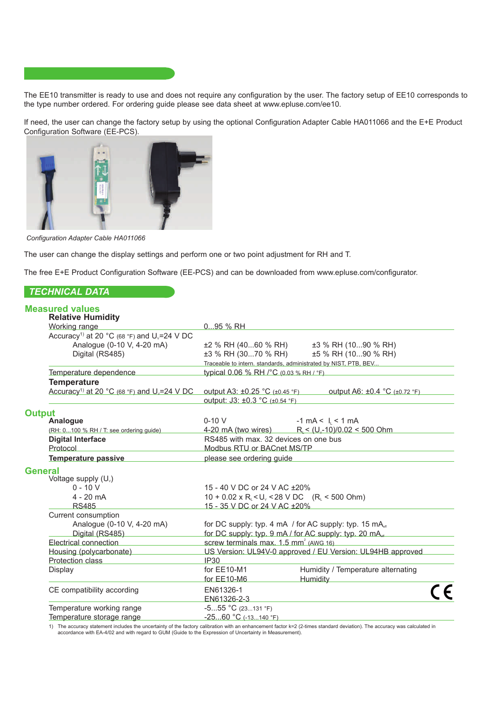

The EE10 transmitter is ready to use and does not require any configuration by the user. The factory setup of EE10 corresponds to the type number ordered. For ordering guide please see data sheet at www.epluse.com/ee10.

If need, the user can change the factory setup by using the optional Configuration Adapter Cable HA011066 and the E+E Product Configuration Software (EE-PCS).



*Configuration Adapter Cable HA011066*

The user can change the display settings and perform one or two point adjustment for RH and T.

The free E+E Product Configuration Software (EE-PCS) and can be downloaded from www.epluse.com/configurator.

## *tECHNiCAL DAtA*

## **measured values**

| <b>Relative Humidity</b>                                   |                                                                                                                                                    |
|------------------------------------------------------------|----------------------------------------------------------------------------------------------------------------------------------------------------|
| Working range                                              | $095$ % RH                                                                                                                                         |
| Accuracy <sup>1)</sup> at 20 °C (68 °F) and $U_v$ =24 V DC |                                                                                                                                                    |
| Analogue (0-10 V, 4-20 mA)                                 | ±2 % RH (4060 % RH)<br>±3 % RH (1090 % RH)                                                                                                         |
| Digital (RS485)                                            | ±3 % RH (3070 % RH) +5 % RH (1090 % RH)                                                                                                            |
|                                                            | Traceable to intern. standards, administrated by NIST, PTB, BEV                                                                                    |
| Temperature dependence                                     | typical 0.06 % RH /°C (0.03 % RH / °F)<br><u> 1989 - Jan Barbarat, politik politik (</u>                                                           |
| <b>Temperature</b>                                         |                                                                                                                                                    |
| Accuracy <sup>1)</sup> at 20 °C (68 °F) and $U_y=24$ V DC  | output A3: $\pm 0.25 \degree C$ ( $\pm 0.45 \degree F$ ) output A6: $\pm 0.4 \degree C$ ( $\pm 0.72 \degree F$ )<br>output: J3: ±0.3 °C (±0.54 °F) |
| <b>Output</b>                                              |                                                                                                                                                    |
| Analogue                                                   | $0-10$ V<br>$-1$ mA < $I_1$ < 1 mA                                                                                                                 |
| (RH: 0100 % RH / T: see ordering guide)                    | 4-20 mA (two wires) $R_i < (U_v-10)/0.02 < 500$ Ohm                                                                                                |
| <b>Digital Interface</b>                                   | RS485 with max. 32 devices on one bus                                                                                                              |
| Protocol                                                   | Modbus RTU or BACnet MS/TP                                                                                                                         |
| <b>Temperature passive</b>                                 | please see ordering guide                                                                                                                          |
| <b>General</b>                                             |                                                                                                                                                    |
| Voltage supply $(U_v)$                                     |                                                                                                                                                    |
| $0 - 10 V$                                                 | 15 - 40 V DC or 24 V AC ±20%                                                                                                                       |
| $4 - 20$ mA                                                | $10 + 0.02 \times R$ , < U <sub>v</sub> < 28 V DC (R, < 500 Ohm)                                                                                   |
| <b>RS485</b>                                               | 15 - 35 V DC or 24 V AC ± 20%                                                                                                                      |
| Current consumption                                        |                                                                                                                                                    |
| Analogue (0-10 V, 4-20 mA)                                 | for DC supply: typ. 4 mA / for AC supply: typ. 15 mA <sub>eff</sub>                                                                                |
| Digital (RS485)                                            | for DC supply: typ. 9 mA / for AC supply: typ. 20 mA <sub>er-</sub>                                                                                |
| Electrical connection                                      | screw terminals max. 1.5 mm <sup>2</sup> (AWG 16)                                                                                                  |
| Housing (polycarbonate)                                    | US Version: UL94V-0 approved / EU Version: UL94HB approved                                                                                         |
| Protection class                                           | IP30                                                                                                                                               |
| Display                                                    | Humidity / Temperature alternating<br>for EE10-M1                                                                                                  |
|                                                            | for EE10-M6<br>Humidity                                                                                                                            |
|                                                            | EN61326-1                                                                                                                                          |
|                                                            |                                                                                                                                                    |
| CE compatibility according                                 |                                                                                                                                                    |
| Temperature working range                                  | EN61326-2-3<br>$-555$ °C (23131 °F)                                                                                                                |

1) The accuracy statement includes the uncertainty of the factory calibration with an enhancement factor k=2 (2-times standard deviation). The accuracy was calculated in<br>accordance with EA-4/02 and with regard to GUM (Guid